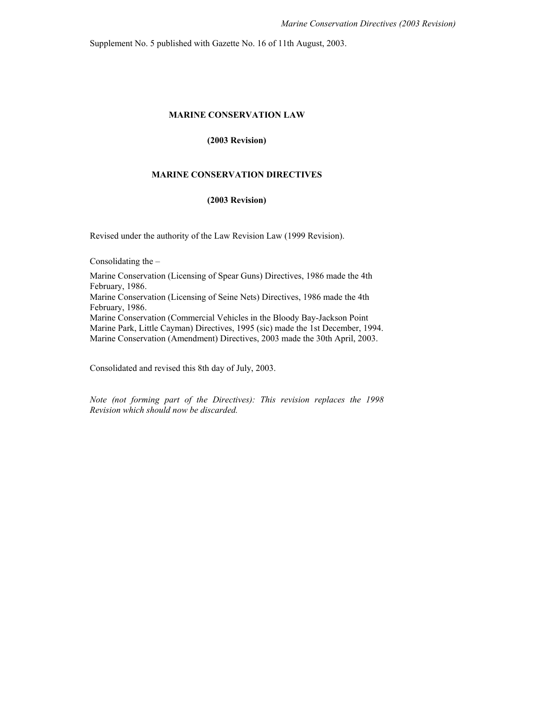Supplement No. 5 published with Gazette No. 16 of 11th August, 2003.

#### **MARINE CONSERVATION LAW**

#### **(2003 Revision)**

#### **MARINE CONSERVATION DIRECTIVES**

### **(2003 Revision)**

Revised under the authority of the Law Revision Law (1999 Revision).

Consolidating the –

Marine Conservation (Licensing of Spear Guns) Directives, 1986 made the 4th February, 1986.

Marine Conservation (Licensing of Seine Nets) Directives, 1986 made the 4th February, 1986.

Marine Conservation (Commercial Vehicles in the Bloody Bay-Jackson Point Marine Park, Little Cayman) Directives, 1995 (sic) made the 1st December, 1994. Marine Conservation (Amendment) Directives, 2003 made the 30th April, 2003.

Consolidated and revised this 8th day of July, 2003.

*Note (not forming part of the Directives): This revision replaces the 1998 Revision which should now be discarded.*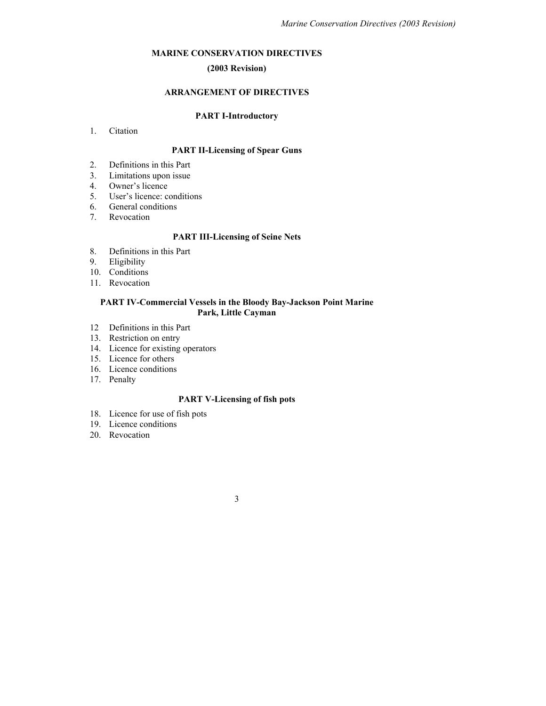### **MARINE CONSERVATION DIRECTIVES**

# **(2003 Revision)**

# **ARRANGEMENT OF DIRECTIVES**

## **PART I-Introductory**

#### 1. Citation

# **PART II-Licensing of Spear Guns**

- 2. Definitions in this Part
- 3. Limitations upon issue
- 4. Owner's licence
- 5. User's licence: conditions
- 6. General conditions
- 7. Revocation

# **PART III-Licensing of Seine Nets**

- 8. Definitions in this Part
- 9. Eligibility
- 10. Conditions
- 11. Revocation

### **PART IV-Commercial Vessels in the Bloody Bay-Jackson Point Marine Park, Little Cayman**

- 12 Definitions in this Part
- 13. Restriction on entry
- 14. Licence for existing operators
- 15. Licence for others
- 16. Licence conditions
- 17. Penalty

### **PART V-Licensing of fish pots**

- 18. Licence for use of fish pots
- 19. Licence conditions
- 20. Revocation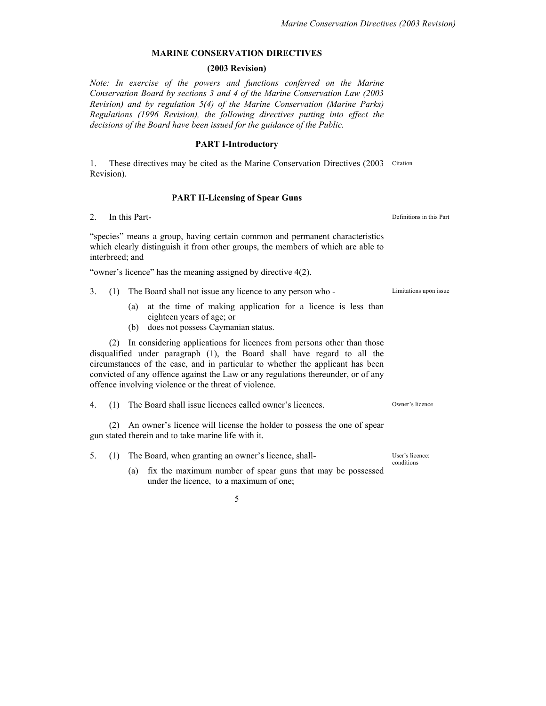# **MARINE CONSERVATION DIRECTIVES**

### **(2003 Revision)**

*Note: In exercise of the powers and functions conferred on the Marine Conservation Board by sections 3 and 4 of the Marine Conservation Law (2003 Revision) and by regulation 5(4) of the Marine Conservation (Marine Parks) Regulations (1996 Revision), the following directives putting into effect the decisions of the Board have been issued for the guidance of the Public.* 

## **PART I-Introductory**

1. These directives may be cited as the Marine Conservation Directives (2003 Citation Revision).

#### **PART II-Licensing of Spear Guns**

2. In this Part- Definitions in this Part

"species" means a group, having certain common and permanent characteristics which clearly distinguish it from other groups, the members of which are able to interbreed; and

"owner's licence" has the meaning assigned by directive 4(2).

- 3. (1) The Board shall not issue any licence to any person who Limitations upon issue
	- (a) at the time of making application for a licence is less than eighteen years of age; or
	- (b) does not possess Caymanian status.

(2) In considering applications for licences from persons other than those disqualified under paragraph (1), the Board shall have regard to all the circumstances of the case, and in particular to whether the applicant has been convicted of any offence against the Law or any regulations thereunder, or of any offence involving violence or the threat of violence.

4. (1) The Board shall issue licences called owner's licences. Owner's licence

(2) An owner's licence will license the holder to possess the one of spear gun stated therein and to take marine life with it.

- 5. (1) The Board, when granting an owner's licence, shall- User's licence:
	- (a) fix the maximum number of spear guns that may be possessed under the licence, to a maximum of one;

5

conditions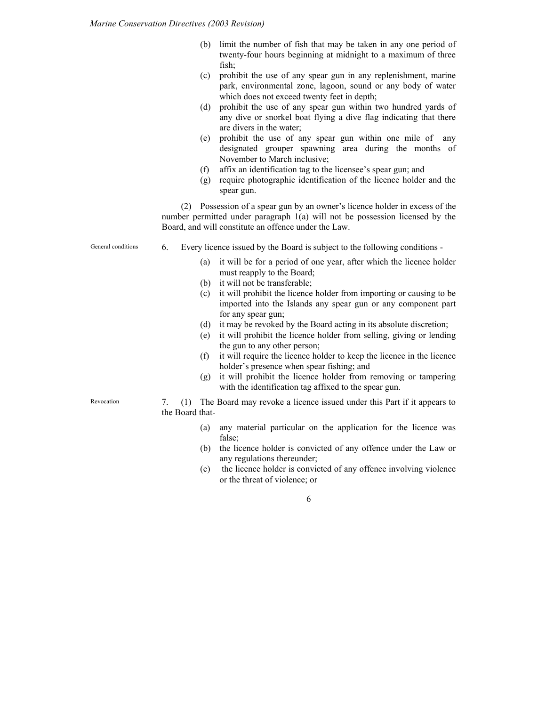- (b) limit the number of fish that may be taken in any one period of twenty-four hours beginning at midnight to a maximum of three fish;
- (c) prohibit the use of any spear gun in any replenishment, marine park, environmental zone, lagoon, sound or any body of water which does not exceed twenty feet in depth;
- (d) prohibit the use of any spear gun within two hundred yards of any dive or snorkel boat flying a dive flag indicating that there are divers in the water;
- (e) prohibit the use of any spear gun within one mile of any designated grouper spawning area during the months of November to March inclusive;
- (f) affix an identification tag to the licensee's spear gun; and
- (g) require photographic identification of the licence holder and the spear gun.

(2) Possession of a spear gun by an owner's licence holder in excess of the number permitted under paragraph 1(a) will not be possession licensed by the Board, and will constitute an offence under the Law.

General conditions 6. Every licence issued by the Board is subject to the following conditions -

- (a) it will be for a period of one year, after which the licence holder must reapply to the Board;
- (b) it will not be transferable;
- (c) it will prohibit the licence holder from importing or causing to be imported into the Islands any spear gun or any component part for any spear gun;
- (d) it may be revoked by the Board acting in its absolute discretion;
- (e) it will prohibit the licence holder from selling, giving or lending the gun to any other person;
- (f) it will require the licence holder to keep the licence in the licence holder's presence when spear fishing; and
- (g) it will prohibit the licence holder from removing or tampering with the identification tag affixed to the spear gun.

7. (1) The Board may revoke a licence issued under this Part if it appears to the Board that-

- (a) any material particular on the application for the licence was false;
- (b) the licence holder is convicted of any offence under the Law or any regulations thereunder;
- (c) the licence holder is convicted of any offence involving violence or the threat of violence; or

6

Revocation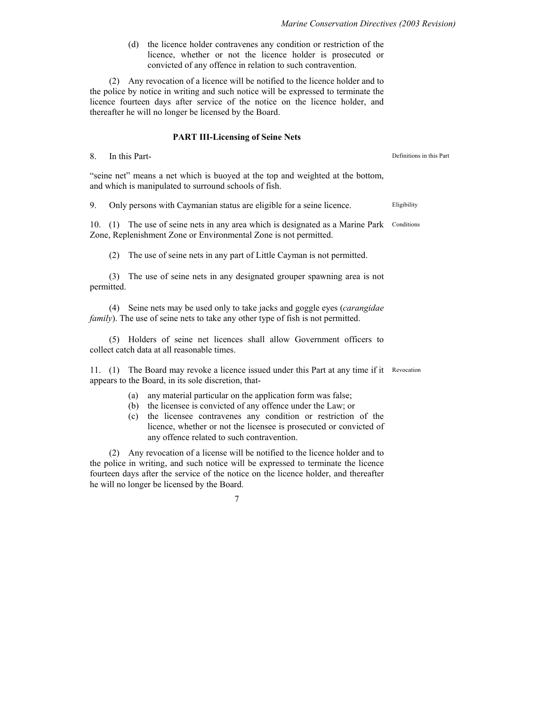(d) the licence holder contravenes any condition or restriction of the licence, whether or not the licence holder is prosecuted or convicted of any offence in relation to such contravention.

(2) Any revocation of a licence will be notified to the licence holder and to the police by notice in writing and such notice will be expressed to terminate the licence fourteen days after service of the notice on the licence holder, and thereafter he will no longer be licensed by the Board.

### **PART III-Licensing of Seine Nets**

8. In this Part-

"seine net" means a net which is buoyed at the top and weighted at the bottom, and which is manipulated to surround schools of fish.

9. Only persons with Caymanian status are eligible for a seine licence. Eligibility

10. (1) The use of seine nets in any area which is designated as a Marine Park Conditions Zone, Replenishment Zone or Environmental Zone is not permitted.

(2) The use of seine nets in any part of Little Cayman is not permitted.

(3) The use of seine nets in any designated grouper spawning area is not permitted.

(4) Seine nets may be used only to take jacks and goggle eyes (*carangidae family*). The use of seine nets to take any other type of fish is not permitted.

(5) Holders of seine net licences shall allow Government officers to collect catch data at all reasonable times.

11. (1) The Board may revoke a licence issued under this Part at any time if it Revocation appears to the Board, in its sole discretion, that-

- (a) any material particular on the application form was false;
- (b) the licensee is convicted of any offence under the Law; or
- (c) the licensee contravenes any condition or restriction of the licence, whether or not the licensee is prosecuted or convicted of any offence related to such contravention.

(2) Any revocation of a license will be notified to the licence holder and to the police in writing, and such notice will be expressed to terminate the licence fourteen days after the service of the notice on the licence holder, and thereafter he will no longer be licensed by the Board.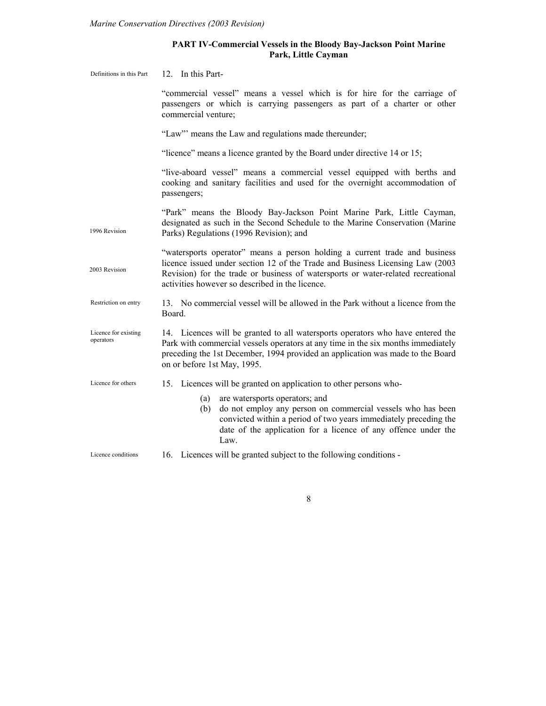# **PART IV-Commercial Vessels in the Bloody Bay-Jackson Point Marine Park, Little Cayman**

| Definitions in this Part          | 12. In this Part-                                                                                                                                                                                                                                                                                   |
|-----------------------------------|-----------------------------------------------------------------------------------------------------------------------------------------------------------------------------------------------------------------------------------------------------------------------------------------------------|
|                                   | "commercial vessel" means a vessel which is for hire for the carriage of<br>passengers or which is carrying passengers as part of a charter or other<br>commercial venture;                                                                                                                         |
|                                   | "Law" means the Law and regulations made thereunder;                                                                                                                                                                                                                                                |
|                                   | "licence" means a licence granted by the Board under directive 14 or 15;                                                                                                                                                                                                                            |
|                                   | "live-aboard vessel" means a commercial vessel equipped with berths and<br>cooking and sanitary facilities and used for the overnight accommodation of<br>passengers;                                                                                                                               |
| 1996 Revision                     | "Park" means the Bloody Bay-Jackson Point Marine Park, Little Cayman,<br>designated as such in the Second Schedule to the Marine Conservation (Marine<br>Parks) Regulations (1996 Revision); and                                                                                                    |
| 2003 Revision                     | "watersports operator" means a person holding a current trade and business<br>licence issued under section 12 of the Trade and Business Licensing Law (2003)<br>Revision) for the trade or business of watersports or water-related recreational<br>activities however so described in the licence. |
| Restriction on entry              | 13. No commercial vessel will be allowed in the Park without a licence from the<br>Board.                                                                                                                                                                                                           |
| Licence for existing<br>operators | 14. Licences will be granted to all watersports operators who have entered the<br>Park with commercial vessels operators at any time in the six months immediately<br>preceding the 1st December, 1994 provided an application was made to the Board<br>on or before 1st May, 1995.                 |
| Licence for others                | 15. Licences will be granted on application to other persons who-                                                                                                                                                                                                                                   |
|                                   | are watersports operators; and<br>(a)<br>do not employ any person on commercial vessels who has been<br>(b)<br>convicted within a period of two years immediately preceding the<br>date of the application for a licence of any offence under the<br>Law.                                           |
| Licence conditions                | 16. Licences will be granted subject to the following conditions -                                                                                                                                                                                                                                  |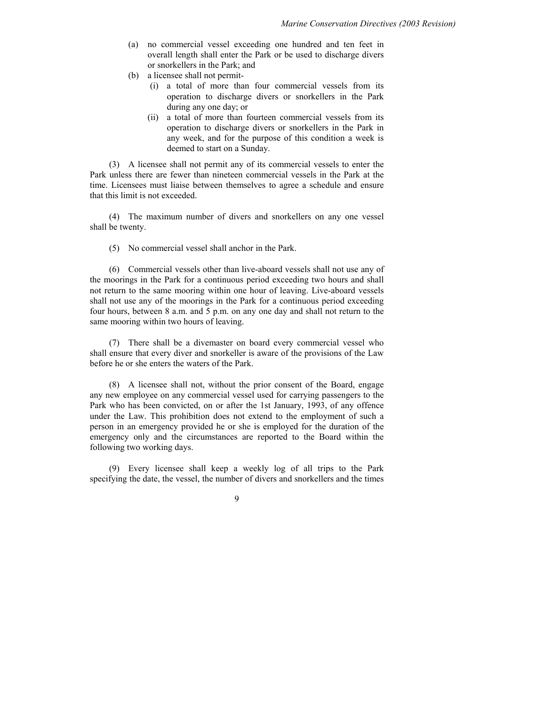- (a) no commercial vessel exceeding one hundred and ten feet in overall length shall enter the Park or be used to discharge divers or snorkellers in the Park; and
- (b) a licensee shall not permit-
	- (i) a total of more than four commercial vessels from its operation to discharge divers or snorkellers in the Park during any one day; or
	- (ii) a total of more than fourteen commercial vessels from its operation to discharge divers or snorkellers in the Park in any week, and for the purpose of this condition a week is deemed to start on a Sunday.

(3) A licensee shall not permit any of its commercial vessels to enter the Park unless there are fewer than nineteen commercial vessels in the Park at the time. Licensees must liaise between themselves to agree a schedule and ensure that this limit is not exceeded.

(4) The maximum number of divers and snorkellers on any one vessel shall be twenty.

(5) No commercial vessel shall anchor in the Park.

(6) Commercial vessels other than live-aboard vessels shall not use any of the moorings in the Park for a continuous period exceeding two hours and shall not return to the same mooring within one hour of leaving. Live-aboard vessels shall not use any of the moorings in the Park for a continuous period exceeding four hours, between 8 a.m. and 5 p.m. on any one day and shall not return to the same mooring within two hours of leaving.

(7) There shall be a divemaster on board every commercial vessel who shall ensure that every diver and snorkeller is aware of the provisions of the Law before he or she enters the waters of the Park.

(8) A licensee shall not, without the prior consent of the Board, engage any new employee on any commercial vessel used for carrying passengers to the Park who has been convicted, on or after the 1st January, 1993, of any offence under the Law. This prohibition does not extend to the employment of such a person in an emergency provided he or she is employed for the duration of the emergency only and the circumstances are reported to the Board within the following two working days.

(9) Every licensee shall keep a weekly log of all trips to the Park specifying the date, the vessel, the number of divers and snorkellers and the times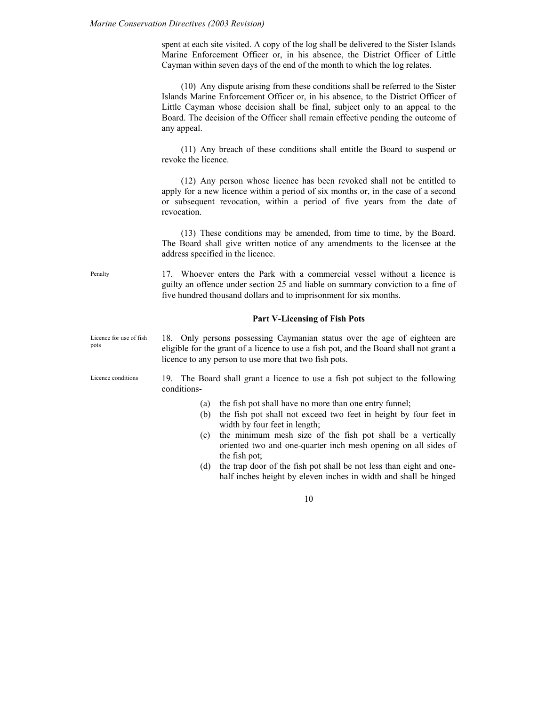spent at each site visited. A copy of the log shall be delivered to the Sister Islands Marine Enforcement Officer or, in his absence, the District Officer of Little Cayman within seven days of the end of the month to which the log relates.

(10) Any dispute arising from these conditions shall be referred to the Sister Islands Marine Enforcement Officer or, in his absence, to the District Officer of Little Cayman whose decision shall be final, subject only to an appeal to the Board. The decision of the Officer shall remain effective pending the outcome of any appeal.

(11) Any breach of these conditions shall entitle the Board to suspend or revoke the licence.

(12) Any person whose licence has been revoked shall not be entitled to apply for a new licence within a period of six months or, in the case of a second or subsequent revocation, within a period of five years from the date of revocation.

(13) These conditions may be amended, from time to time, by the Board. The Board shall give written notice of any amendments to the licensee at the address specified in the licence.

17. Whoever enters the Park with a commercial vessel without a licence is guilty an offence under section 25 and liable on summary conviction to a fine of five hundred thousand dollars and to imprisonment for six months.

#### **Part V-Licensing of Fish Pots**

18. Only persons possessing Caymanian status over the age of eighteen are eligible for the grant of a licence to use a fish pot, and the Board shall not grant a licence to any person to use more that two fish pots. Licence for use of fish pots

Licence conditions

19. The Board shall grant a licence to use a fish pot subject to the following conditions-

- (a) the fish pot shall have no more than one entry funnel;
- (b) the fish pot shall not exceed two feet in height by four feet in width by four feet in length;
- (c) the minimum mesh size of the fish pot shall be a vertically oriented two and one-quarter inch mesh opening on all sides of the fish pot;
- (d) the trap door of the fish pot shall be not less than eight and onehalf inches height by eleven inches in width and shall be hinged

10

Penalty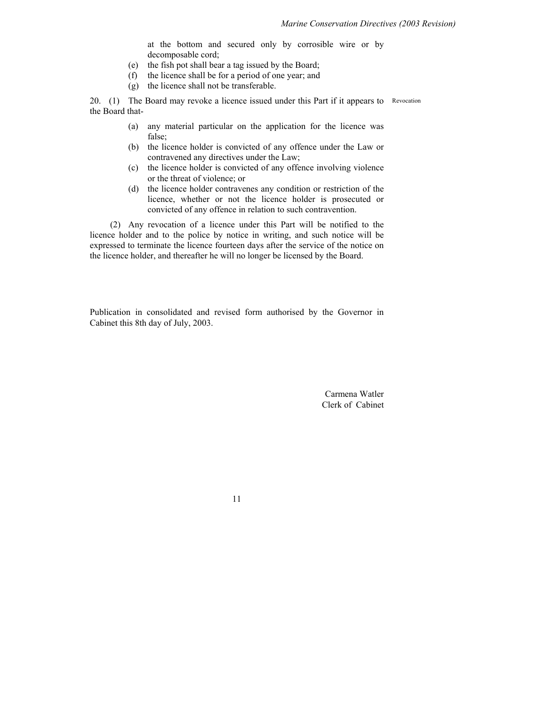at the bottom and secured only by corrosible wire or by decomposable cord;

- (e) the fish pot shall bear a tag issued by the Board;
- (f) the licence shall be for a period of one year; and
- (g) the licence shall not be transferable.

20. (1) The Board may revoke a licence issued under this Part if it appears to Revocation the Board that-

- (a) any material particular on the application for the licence was false;
- (b) the licence holder is convicted of any offence under the Law or contravened any directives under the Law;
- (c) the licence holder is convicted of any offence involving violence or the threat of violence; or
- (d) the licence holder contravenes any condition or restriction of the licence, whether or not the licence holder is prosecuted or convicted of any offence in relation to such contravention.

(2) Any revocation of a licence under this Part will be notified to the licence holder and to the police by notice in writing, and such notice will be expressed to terminate the licence fourteen days after the service of the notice on the licence holder, and thereafter he will no longer be licensed by the Board.

Publication in consolidated and revised form authorised by the Governor in Cabinet this 8th day of July, 2003.

> Carmena Watler Clerk of Cabinet